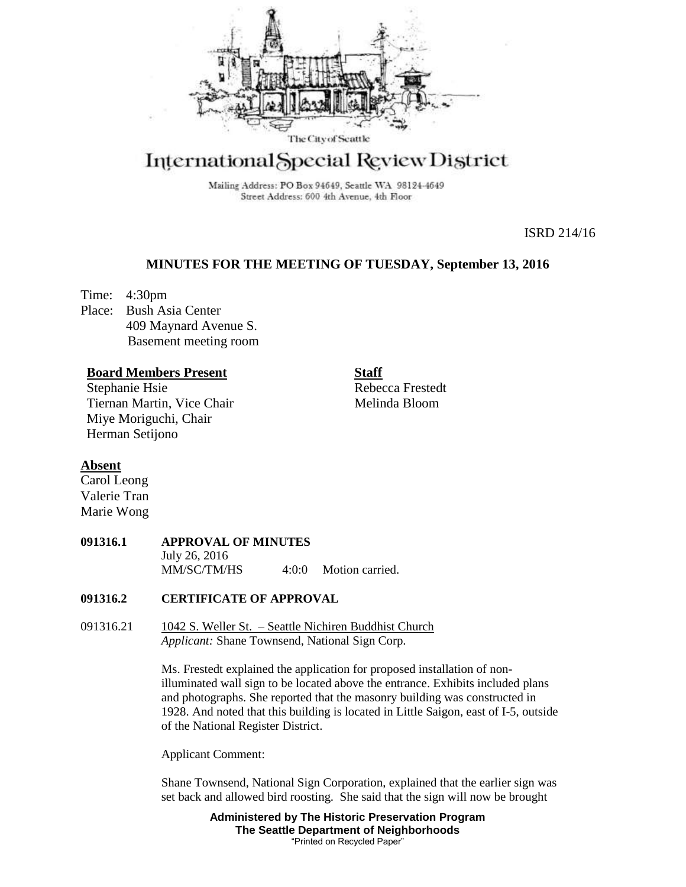

# International Special Review District

Mailing Address: PO Box 94649, Seattle WA 98124-4649 Street Address: 600 4th Avenue, 4th Floor

ISRD 214/16

## **MINUTES FOR THE MEETING OF TUESDAY, September 13, 2016**

Time: 4:30pm Place: Bush Asia Center 409 Maynard Avenue S. Basement meeting room

#### **Board Members Present**

Stephanie Hsie Tiernan Martin, Vice Chair Miye Moriguchi, Chair Herman Setijono

**Staff** Rebecca Frestedt Melinda Bloom

## **Absent**

Carol Leong Valerie Tran Marie Wong

#### **091316.1 APPROVAL OF MINUTES** July 26, 2016 MM/SC/TM/HS 4:0:0 Motion carried.

#### **091316.2 CERTIFICATE OF APPROVAL**

091316.21 1042 S. Weller St. – Seattle Nichiren Buddhist Church *Applicant:* Shane Townsend, National Sign Corp.

> Ms. Frestedt explained the application for proposed installation of nonilluminated wall sign to be located above the entrance. Exhibits included plans and photographs. She reported that the masonry building was constructed in 1928. And noted that this building is located in Little Saigon, east of I-5, outside of the National Register District.

Applicant Comment:

Shane Townsend, National Sign Corporation, explained that the earlier sign was set back and allowed bird roosting. She said that the sign will now be brought

> **Administered by The Historic Preservation Program The Seattle Department of Neighborhoods** "Printed on Recycled Paper"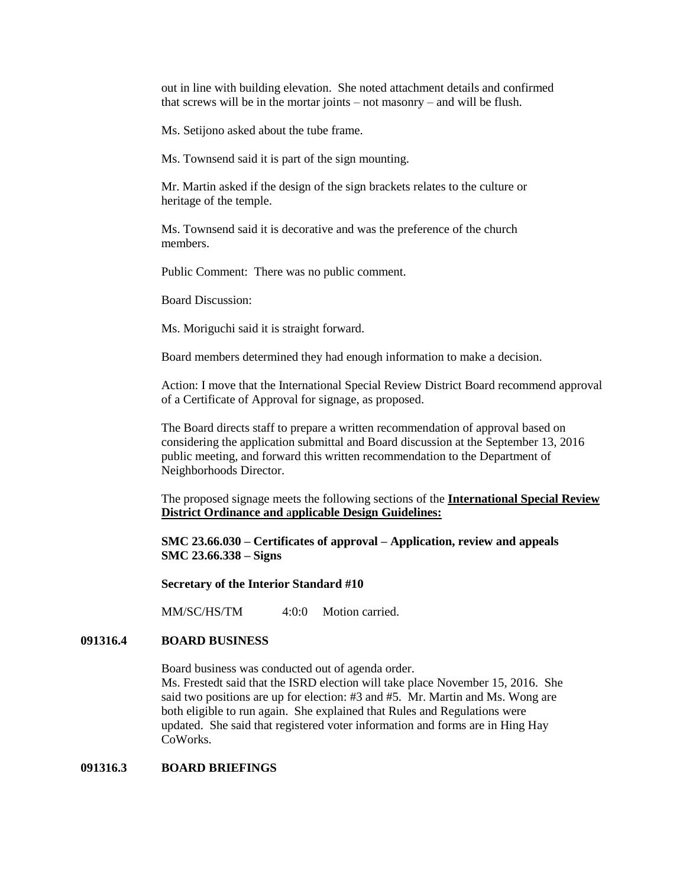out in line with building elevation. She noted attachment details and confirmed that screws will be in the mortar joints – not masonry – and will be flush.

Ms. Setijono asked about the tube frame.

Ms. Townsend said it is part of the sign mounting.

Mr. Martin asked if the design of the sign brackets relates to the culture or heritage of the temple.

Ms. Townsend said it is decorative and was the preference of the church members.

Public Comment: There was no public comment.

Board Discussion:

Ms. Moriguchi said it is straight forward.

Board members determined they had enough information to make a decision.

Action: I move that the International Special Review District Board recommend approval of a Certificate of Approval for signage, as proposed.

The Board directs staff to prepare a written recommendation of approval based on considering the application submittal and Board discussion at the September 13, 2016 public meeting, and forward this written recommendation to the Department of Neighborhoods Director.

The proposed signage meets the following sections of the **International Special Review District Ordinance and** a**pplicable Design Guidelines:**

**SMC 23.66.030 – Certificates of approval – Application, review and appeals SMC 23.66.338 – Signs**

**Secretary of the Interior Standard #10**

MM/SC/HS/TM 4:0:0 Motion carried.

### **091316.4 BOARD BUSINESS**

Board business was conducted out of agenda order.

Ms. Frestedt said that the ISRD election will take place November 15, 2016. She said two positions are up for election: #3 and #5. Mr. Martin and Ms. Wong are both eligible to run again. She explained that Rules and Regulations were updated. She said that registered voter information and forms are in Hing Hay CoWorks.

#### **091316.3 BOARD BRIEFINGS**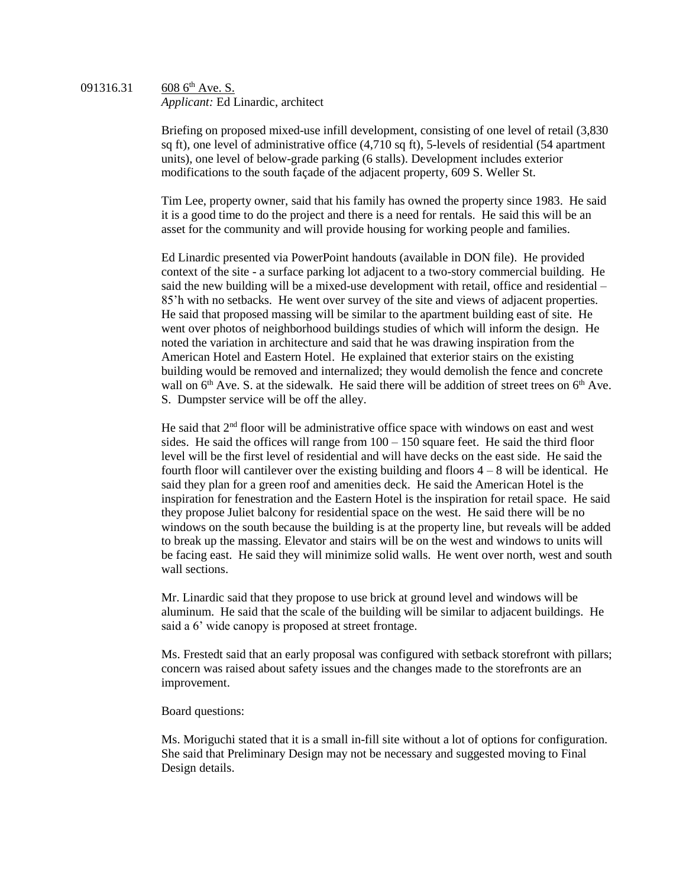#### 091316.31 608  $6^{th}$  Ave. S. *Applicant:* Ed Linardic, architect

Briefing on proposed mixed-use infill development, consisting of one level of retail (3,830 sq ft), one level of administrative office (4,710 sq ft), 5-levels of residential (54 apartment units), one level of below-grade parking (6 stalls). Development includes exterior modifications to the south façade of the adjacent property, 609 S. Weller St.

Tim Lee, property owner, said that his family has owned the property since 1983. He said it is a good time to do the project and there is a need for rentals. He said this will be an asset for the community and will provide housing for working people and families.

Ed Linardic presented via PowerPoint handouts (available in DON file). He provided context of the site - a surface parking lot adjacent to a two-story commercial building. He said the new building will be a mixed-use development with retail, office and residential – 85'h with no setbacks. He went over survey of the site and views of adjacent properties. He said that proposed massing will be similar to the apartment building east of site. He went over photos of neighborhood buildings studies of which will inform the design. He noted the variation in architecture and said that he was drawing inspiration from the American Hotel and Eastern Hotel. He explained that exterior stairs on the existing building would be removed and internalized; they would demolish the fence and concrete wall on  $6<sup>th</sup>$  Ave. S. at the sidewalk. He said there will be addition of street trees on  $6<sup>th</sup>$  Ave. S. Dumpster service will be off the alley.

He said that 2nd floor will be administrative office space with windows on east and west sides. He said the offices will range from  $100 - 150$  square feet. He said the third floor level will be the first level of residential and will have decks on the east side. He said the fourth floor will cantilever over the existing building and floors  $4 - 8$  will be identical. He said they plan for a green roof and amenities deck. He said the American Hotel is the inspiration for fenestration and the Eastern Hotel is the inspiration for retail space. He said they propose Juliet balcony for residential space on the west. He said there will be no windows on the south because the building is at the property line, but reveals will be added to break up the massing. Elevator and stairs will be on the west and windows to units will be facing east. He said they will minimize solid walls. He went over north, west and south wall sections.

Mr. Linardic said that they propose to use brick at ground level and windows will be aluminum. He said that the scale of the building will be similar to adjacent buildings. He said a 6' wide canopy is proposed at street frontage.

Ms. Frestedt said that an early proposal was configured with setback storefront with pillars; concern was raised about safety issues and the changes made to the storefronts are an improvement.

Board questions:

Ms. Moriguchi stated that it is a small in-fill site without a lot of options for configuration. She said that Preliminary Design may not be necessary and suggested moving to Final Design details.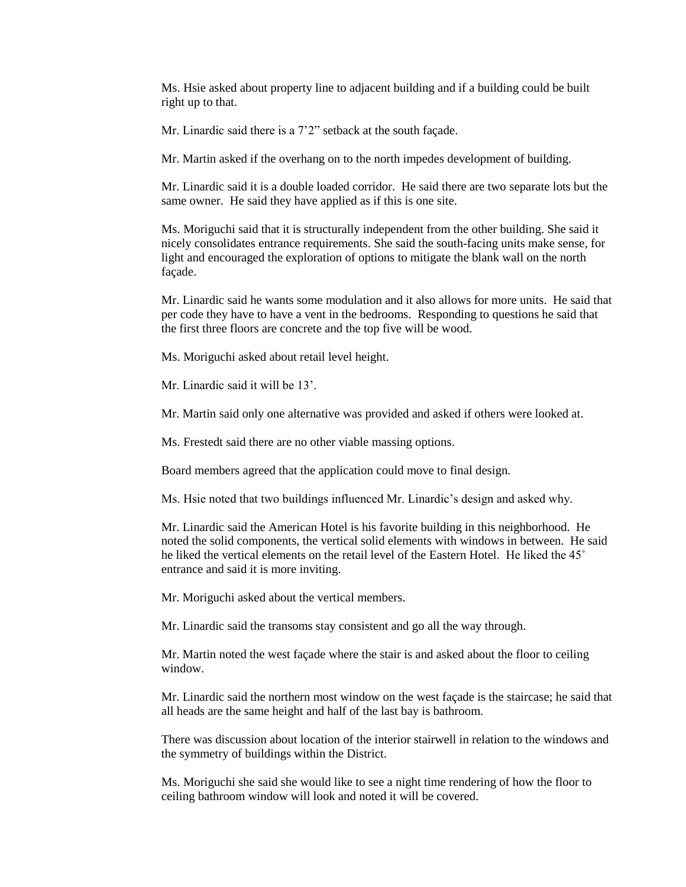Ms. Hsie asked about property line to adjacent building and if a building could be built right up to that.

Mr. Linardic said there is a 7'2" setback at the south façade.

Mr. Martin asked if the overhang on to the north impedes development of building.

Mr. Linardic said it is a double loaded corridor. He said there are two separate lots but the same owner. He said they have applied as if this is one site.

Ms. Moriguchi said that it is structurally independent from the other building. She said it nicely consolidates entrance requirements. She said the south-facing units make sense, for light and encouraged the exploration of options to mitigate the blank wall on the north façade.

Mr. Linardic said he wants some modulation and it also allows for more units. He said that per code they have to have a vent in the bedrooms. Responding to questions he said that the first three floors are concrete and the top five will be wood.

Ms. Moriguchi asked about retail level height.

Mr. Linardic said it will be 13'.

Mr. Martin said only one alternative was provided and asked if others were looked at.

Ms. Frestedt said there are no other viable massing options.

Board members agreed that the application could move to final design.

Ms. Hsie noted that two buildings influenced Mr. Linardic's design and asked why.

Mr. Linardic said the American Hotel is his favorite building in this neighborhood. He noted the solid components, the vertical solid elements with windows in between. He said he liked the vertical elements on the retail level of the Eastern Hotel. He liked the 45˚ entrance and said it is more inviting.

Mr. Moriguchi asked about the vertical members.

Mr. Linardic said the transoms stay consistent and go all the way through.

Mr. Martin noted the west façade where the stair is and asked about the floor to ceiling window.

Mr. Linardic said the northern most window on the west façade is the staircase; he said that all heads are the same height and half of the last bay is bathroom.

There was discussion about location of the interior stairwell in relation to the windows and the symmetry of buildings within the District.

Ms. Moriguchi she said she would like to see a night time rendering of how the floor to ceiling bathroom window will look and noted it will be covered.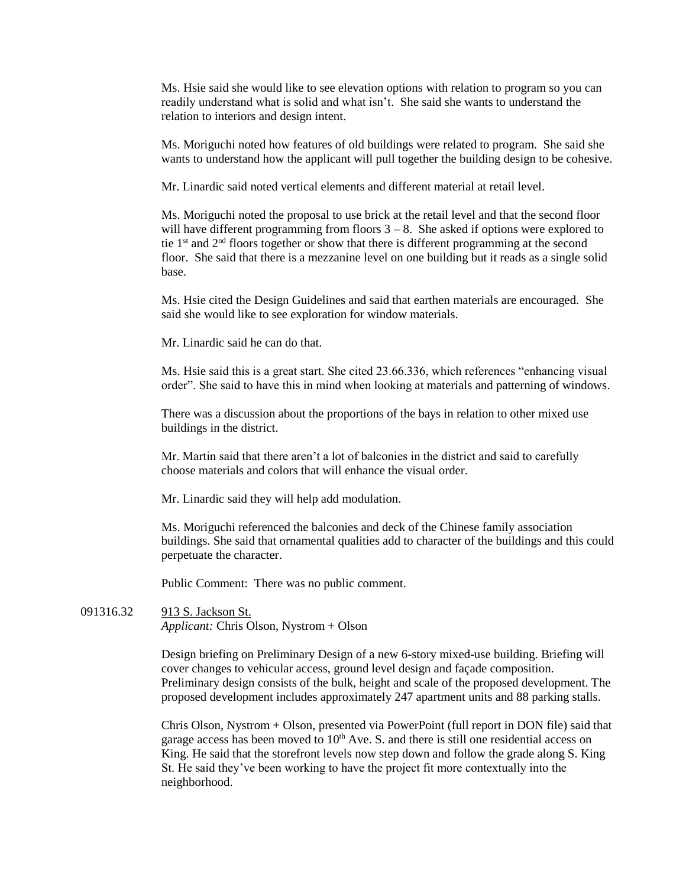Ms. Hsie said she would like to see elevation options with relation to program so you can readily understand what is solid and what isn't. She said she wants to understand the relation to interiors and design intent.

Ms. Moriguchi noted how features of old buildings were related to program. She said she wants to understand how the applicant will pull together the building design to be cohesive.

Mr. Linardic said noted vertical elements and different material at retail level.

Ms. Moriguchi noted the proposal to use brick at the retail level and that the second floor will have different programming from floors  $3 - 8$ . She asked if options were explored to tie  $1<sup>st</sup>$  and  $2<sup>nd</sup>$  floors together or show that there is different programming at the second floor. She said that there is a mezzanine level on one building but it reads as a single solid base.

Ms. Hsie cited the Design Guidelines and said that earthen materials are encouraged. She said she would like to see exploration for window materials.

Mr. Linardic said he can do that.

Ms. Hsie said this is a great start. She cited 23.66.336, which references "enhancing visual order". She said to have this in mind when looking at materials and patterning of windows.

There was a discussion about the proportions of the bays in relation to other mixed use buildings in the district.

Mr. Martin said that there aren't a lot of balconies in the district and said to carefully choose materials and colors that will enhance the visual order.

Mr. Linardic said they will help add modulation.

Ms. Moriguchi referenced the balconies and deck of the Chinese family association buildings. She said that ornamental qualities add to character of the buildings and this could perpetuate the character.

Public Comment: There was no public comment.

091316.32 913 S. Jackson St. *Applicant:* Chris Olson, Nystrom + Olson

> Design briefing on Preliminary Design of a new 6-story mixed-use building. Briefing will cover changes to vehicular access, ground level design and façade composition. Preliminary design consists of the bulk, height and scale of the proposed development. The proposed development includes approximately 247 apartment units and 88 parking stalls.

> Chris Olson, Nystrom + Olson, presented via PowerPoint (full report in DON file) said that garage access has been moved to  $10<sup>th</sup>$  Ave. S. and there is still one residential access on King. He said that the storefront levels now step down and follow the grade along S. King St. He said they've been working to have the project fit more contextually into the neighborhood.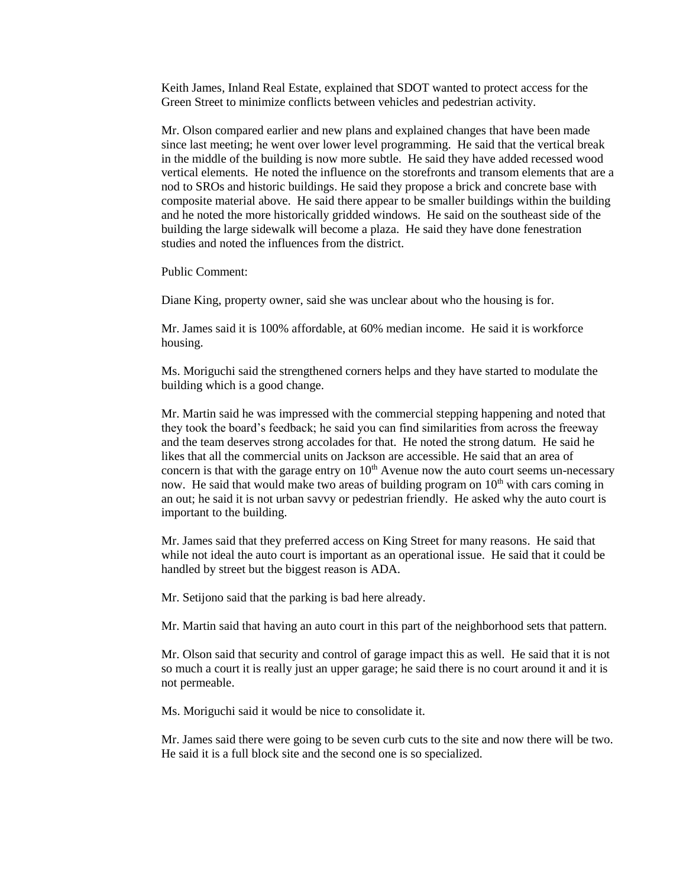Keith James, Inland Real Estate, explained that SDOT wanted to protect access for the Green Street to minimize conflicts between vehicles and pedestrian activity.

Mr. Olson compared earlier and new plans and explained changes that have been made since last meeting; he went over lower level programming. He said that the vertical break in the middle of the building is now more subtle. He said they have added recessed wood vertical elements. He noted the influence on the storefronts and transom elements that are a nod to SROs and historic buildings. He said they propose a brick and concrete base with composite material above. He said there appear to be smaller buildings within the building and he noted the more historically gridded windows. He said on the southeast side of the building the large sidewalk will become a plaza. He said they have done fenestration studies and noted the influences from the district.

Public Comment:

Diane King, property owner, said she was unclear about who the housing is for.

Mr. James said it is 100% affordable, at 60% median income. He said it is workforce housing.

Ms. Moriguchi said the strengthened corners helps and they have started to modulate the building which is a good change.

Mr. Martin said he was impressed with the commercial stepping happening and noted that they took the board's feedback; he said you can find similarities from across the freeway and the team deserves strong accolades for that. He noted the strong datum. He said he likes that all the commercial units on Jackson are accessible. He said that an area of concern is that with the garage entry on  $10<sup>th</sup>$  Avenue now the auto court seems un-necessary now. He said that would make two areas of building program on  $10<sup>th</sup>$  with cars coming in an out; he said it is not urban savvy or pedestrian friendly. He asked why the auto court is important to the building.

Mr. James said that they preferred access on King Street for many reasons. He said that while not ideal the auto court is important as an operational issue. He said that it could be handled by street but the biggest reason is ADA.

Mr. Setijono said that the parking is bad here already.

Mr. Martin said that having an auto court in this part of the neighborhood sets that pattern.

Mr. Olson said that security and control of garage impact this as well. He said that it is not so much a court it is really just an upper garage; he said there is no court around it and it is not permeable.

Ms. Moriguchi said it would be nice to consolidate it.

Mr. James said there were going to be seven curb cuts to the site and now there will be two. He said it is a full block site and the second one is so specialized.